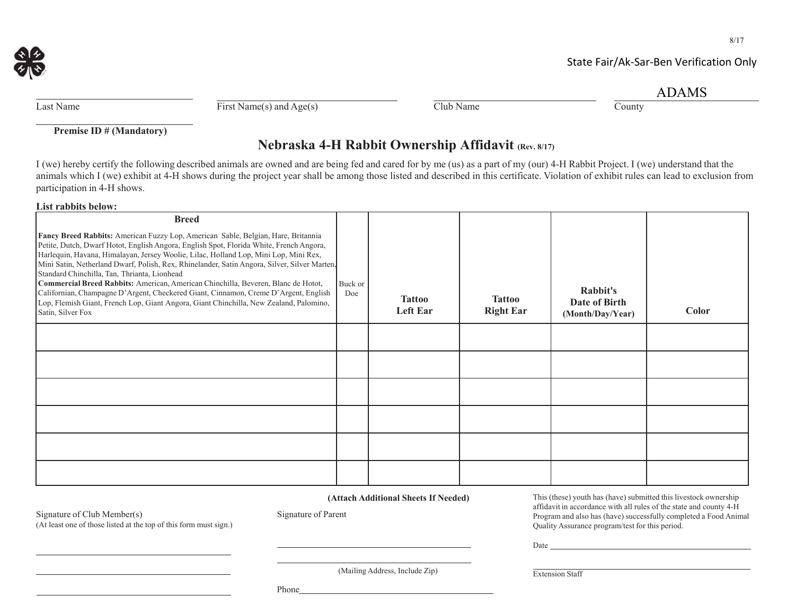

## State Fair/Ak‐Sar‐Ben Verification Only

|  |  | ADAMS |
|--|--|-------|
|  |  |       |

| Last Name |
|-----------|
|           |

 $\overline{\text{First Name(s) and Age(s)}}$  Club Name County

**Premise ID # (Mandatory)**

# **Nebraska 4-H Rabbit Ownership Affidavit (Rev. 8/17)**

I (we) hereby certify the following described animals are owned and are being fed and cared for by me (us) as a part of my (our) 4-H Rabbit Project. I (we) understand that the animals which I (we) exhibit at 4-H shows during the project year shall be among those listed and described in this certificate. Violation of exhibit rules can lead to exclusion from participation in 4-H shows.

#### **List rabbits below:**

| <b>Breed</b>                                                                                                                                                                                                                                                                                                                                                                                                                                                                                                                                                                                                                                                                                                    |                |                                  |                                   |                                               |       |
|-----------------------------------------------------------------------------------------------------------------------------------------------------------------------------------------------------------------------------------------------------------------------------------------------------------------------------------------------------------------------------------------------------------------------------------------------------------------------------------------------------------------------------------------------------------------------------------------------------------------------------------------------------------------------------------------------------------------|----------------|----------------------------------|-----------------------------------|-----------------------------------------------|-------|
| Fancy Breed Rabbits: American Fuzzy Lop, American Sable, Belgian, Hare, Britannia<br>Petite, Dutch, Dwarf Hotot, English Angora, English Spot, Florida White, French Angora,<br>Harlequin, Havana, Himalayan, Jersey Woolie, Lilac, Holland Lop, Mini Lop, Mini Rex,<br>Mini Satin, Netherland Dwarf, Polish, Rex, Rhinelander, Satin Angora, Silver, Silver Marten,<br>Standard Chinchilla, Tan, Thrianta, Lionhead<br>Commercial Breed Rabbits: American, American Chinchilla, Beveren, Blanc de Hotot,<br>Californian, Champagne D'Argent, Checkered Giant, Cinnamon, Creme D'Argent, English<br>Lop, Flemish Giant, French Lop, Giant Angora, Giant Chinchilla, New Zealand, Palomino,<br>Satin, Silver Fox | Buck or<br>Doe | <b>Tattoo</b><br><b>Left Ear</b> | <b>Tattoo</b><br><b>Right Ear</b> | Rabbit's<br>Date of Birth<br>(Month/Day/Year) | Color |
|                                                                                                                                                                                                                                                                                                                                                                                                                                                                                                                                                                                                                                                                                                                 |                |                                  |                                   |                                               |       |
|                                                                                                                                                                                                                                                                                                                                                                                                                                                                                                                                                                                                                                                                                                                 |                |                                  |                                   |                                               |       |
|                                                                                                                                                                                                                                                                                                                                                                                                                                                                                                                                                                                                                                                                                                                 |                |                                  |                                   |                                               |       |
|                                                                                                                                                                                                                                                                                                                                                                                                                                                                                                                                                                                                                                                                                                                 |                |                                  |                                   |                                               |       |
|                                                                                                                                                                                                                                                                                                                                                                                                                                                                                                                                                                                                                                                                                                                 |                |                                  |                                   |                                               |       |
|                                                                                                                                                                                                                                                                                                                                                                                                                                                                                                                                                                                                                                                                                                                 |                |                                  |                                   |                                               |       |

 **(Attach Additional Sheets If Needed)**

Signature of Club Member(s) Signature of Parent

(At least one of those listed at the top of this form must sign.)

This (these) youth has (have) submitted this livestock ownership affidavit in accordance with all rules of the state and county 4-H Program and also has (have) successfully completed a Food Animal Quality Assurance program/test for this period.

Date

Extension Staff

(Mailing Address, Include Zip)

Phone

8/17